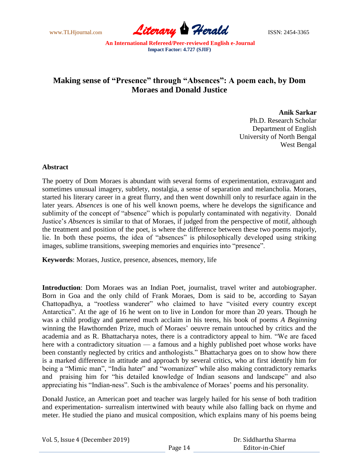www.TLHjournal.com **Literary Perald ISSN: 2454-3365** 

# **Making sense of "Presence" through "Absences": A poem each, by Dom Moraes and Donald Justice**

**Anik Sarkar**

Ph.D. Research Scholar Department of English University of North Bengal West Bengal

## **Abstract**

The poetry of Dom Moraes is abundant with several forms of experimentation, extravagant and sometimes unusual imagery, subtlety, nostalgia, a sense of separation and melancholia. Moraes, started his literary career in a great flurry, and then went downhill only to resurface again in the later years. *Absences* is one of his well known poems, where he develops the significance and sublimity of the concept of "absence" which is popularly contaminated with negativity. Donald Justice's *Absences* is similar to that of Moraes, if judged from the perspective of motif, although the treatment and position of the poet, is where the difference between these two poems majorly, lie. In both these poems, the idea of "absences" is philosophically developed using striking images, sublime transitions, sweeping memories and enquiries into "presence".

**Keywords**: Moraes, Justice, presence, absences, memory, life

**Introduction**: Dom Moraes was an Indian Poet, journalist, travel writer and autobiographer. Born in Goa and the only child of Frank Moraes, Dom is said to be, according to Sayan Chattopadhya, a "rootless wanderer" who claimed to have "visited every country except Antarctica". At the age of 16 he went on to live in London for more than 20 years. Though he was a child prodigy and garnered much acclaim in his teens, his book of poems *A Beginning* winning the Hawthornden Prize, much of Moraes' oeuvre remain untouched by critics and the academia and as R. Bhattacharya notes, there is a contradictory appeal to him. "We are faced here with a contradictory situation — a famous and a highly published poet whose works have been constantly neglected by critics and anthologists." Bhattacharya goes on to show how there is a marked difference in attitude and approach by several critics, who at first identify him for being a "Mimic man", "India hater" and "womanizer" while also making contradictory remarks and praising him for "his detailed knowledge of Indian seasons and landscape" and also appreciating his "Indian-ness". Such is the ambivalence of Moraes' poems and his personality.

Donald Justice, an American poet and teacher was largely hailed for his sense of both tradition and experimentation- surrealism intertwined with beauty while also falling back on rhyme and meter. He studied the piano and musical composition, which explains many of his poems being

| Vol. 5, Issue 4 (December 2019) |         | Dr. Siddhartha Sharma |
|---------------------------------|---------|-----------------------|
|                                 | Page 14 | Editor-in-Chief       |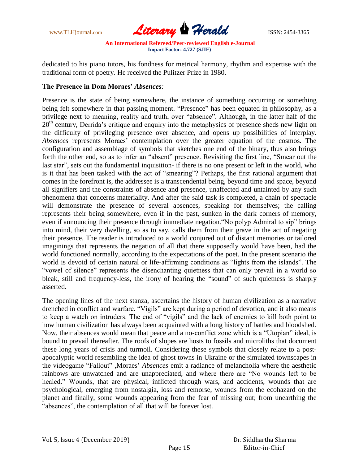www.TLHjournal.com **Literary Herald Herald ISSN: 2454-3365** 

dedicated to his piano tutors, his fondness for metrical harmony, rhythm and expertise with the traditional form of poetry. He received the Pulitzer Prize in 1980.

## **The Presence in Dom Moraes'** *Absences:*

Presence is the state of being somewhere, the instance of something occurring or something being felt somewhere in that passing moment. "Presence" has been equated in philosophy, as a privilege next to meaning, reality and truth, over "absence". Although, in the latter half of the 20<sup>th</sup> century, Derrida's critique and enquiry into the metaphysics of presence sheds new light on the difficulty of privileging presence over absence, and opens up possibilities of interplay. *Absences* represents Moraes' contemplation over the greater equation of the cosmos. The configuration and assemblage of symbols that sketches one end of the binary, thus also brings forth the other end, so as to infer an "absent" presence. Revisiting the first line, "Smear out the last star", sets out the fundamental inquisition- if there is no one present or left in the world, who is it that has been tasked with the act of "smearing"? Perhaps, the first rational argument that comes in the forefront is, the addressee is a transcendental being, beyond time and space, beyond all signifiers and the constraints of absence and presence, unaffected and untainted by any such phenomena that concerns materiality. And after the said task is completed, a chain of spectacle will demonstrate the presence of several absences, speaking for themselves; the calling represents their being somewhere, even if in the past, sunken in the dark corners of memory, even if announcing their presence through immediate negation."No polyp Admiral to sip" brings into mind, their very dwelling, so as to say, calls them from their grave in the act of negating their presence. The reader is introduced to a world conjured out of distant memories or tailored imaginings that represents the negation of all that there supposedly would have been, had the world functioned normally, according to the expectations of the poet. In the present scenario the world is devoid of certain natural or life-affirming conditions as "lights from the islands". The "vowel of silence" represents the disenchanting quietness that can only prevail in a world so bleak, still and frequency-less, the irony of hearing the "sound" of such quietness is sharply asserted.

The opening lines of the next stanza, ascertains the history of human civilization as a narrative drenched in conflict and warfare. "Vigils" are kept during a period of devotion, and it also means to keep a watch on intruders. The end of "vigils" and the lack of enemies to kill both point to how human civilization has always been acquainted with a long history of battles and bloodshed. Now, their absences would mean that peace and a no-conflict zone which is a "Utopian" ideal, is bound to prevail thereafter. The roofs of slopes are hosts to fossils and microliths that document these long years of crisis and turmoil. Considering these symbols that closely relate to a postapocalyptic world resembling the idea of ghost towns in Ukraine or the simulated townscapes in the videogame "Fallout" ,Moraes' *Absences* emit a radiance of melancholia where the aesthetic rainbows are unwatched and are unappreciated, and where there are "No wounds left to be healed." Wounds, that are physical, inflicted through wars, and accidents, wounds that are psychological, emerging from nostalgia, loss and remorse, wounds from the ecohazard on the planet and finally, some wounds appearing from the fear of missing out; from unearthing the "absences", the contemplation of all that will be forever lost.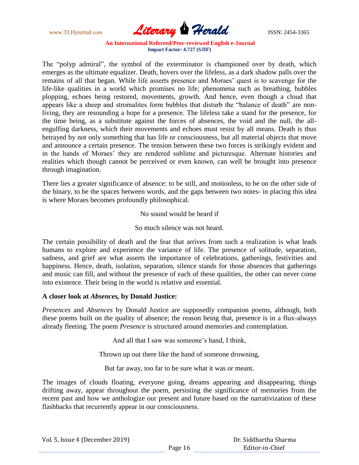www.TLHjournal.com **Literary Herald Herald ISSN: 2454-3365** 

The "polyp admiral", the symbol of the exterminator is championed over by death, which emerges as the ultimate equalizer. Death, hovers over the lifeless, as a dark shadow palls over the remains of all that began. While life asserts presence and Moraes' quest is to scavenge for the life-like qualities in a world which promises no life; phenomena such as breathing, bubbles plopping, echoes being restored, movements, growth. And hence, even though a cloud that appears like a sheep and stromalites form bubbles that disturb the "balance of death" are nonliving, they are resounding a hope for a presence. The lifeless take a stand for the presence, for the time being, as a substitute against the forces of absences, the void and the null, the allengulfing darkness, which their movements and echoes must resist by all means. Death is thus betrayed by not only something that has life or consciousness, but all material objects that move and announce a certain presence. The tension between these two forces is strikingly evident and in the hands of Moraes' they are rendered sublime and picturesque. Alternate histories and realities which though cannot be perceived or even known, can well be brought into presence through imagination.

There lies a greater significance of absence: to be still, and motionless, to be on the other side of the binary, to be the spaces between words, and the gaps between two notes- in placing this idea is where Moraes becomes profoundly philosophical.

No sound would be heard if

So much silence was not heard.

The certain possibility of death and the fear that arrives from such a realization is what leads humans to explore and experience the variance of life. The presence of solitude, separation, sadness, and grief are what asserts the importance of celebrations, gatherings, festivities and happiness. Hence, death, isolation, separation, silence stands for those absences that gatherings and music can fill, and without the presence of each of these qualities, the other can never come into existence. Their being in the world is relative and essential.

### **A closer look at** *Absences,* **by Donald Justice:**

*Presences* and *Absences* by Donald Justice are supposedly companion poems, although, both these poems built on the quality of absence; the reason being that, presence is in a flux-always already fleeting. The poem *Presence* is structured around memories and contemplation.

And all that I saw was someone's hand, I think,

Thrown up out there like the hand of someone drowning,

But far away, too far to be sure what it was or meant.

The images of clouds floating, everyone going, dreams appearing and disappearing, things drifting away, appear throughout the poem, persisting the significance of memories from the recent past and how we anthologize our present and future based on the narrativization of these flashbacks that recurrently appear in our consciousness.

 Dr. Siddhartha Sharma Editor-in-Chief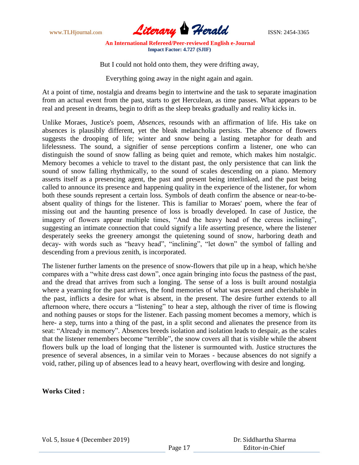

But I could not hold onto them, they were drifting away,

Everything going away in the night again and again.

At a point of time, nostalgia and dreams begin to intertwine and the task to separate imagination from an actual event from the past, starts to get Herculean, as time passes. What appears to be real and present in dreams, begin to drift as the sleep breaks gradually and reality kicks in.

Unlike Moraes, Justice's poem, *Absences*, resounds with an affirmation of life. His take on absences is plausibly different, yet the bleak melancholia persists. The absence of flowers suggests the drooping of life; winter and snow being a lasting metaphor for death and lifelessness. The sound, a signifier of sense perceptions confirm a listener, one who can distinguish the sound of snow falling as being quiet and remote, which makes him nostalgic. Memory becomes a vehicle to travel to the distant past, the only persistence that can link the sound of snow falling rhythmically, to the sound of scales descending on a piano. Memory asserts itself as a presencing agent, the past and present being interlinked, and the past being called to announce its presence and happening quality in the experience of the listener, for whom both these sounds represent a certain loss. Symbols of death confirm the absence or near-to-beabsent quality of things for the listener. This is familiar to Moraes' poem, where the fear of missing out and the haunting presence of loss is broadly developed. In case of Justice, the imagery of flowers appear multiple times, "And the heavy head of the cereus inclining", suggesting an intimate connection that could signify a life asserting presence, where the listener desperately seeks the greenery amongst the quietening sound of snow, harboring death and decay- with words such as "heavy head", "inclining", "let down" the symbol of falling and descending from a previous zenith, is incorporated.

The listener further laments on the presence of snow-flowers that pile up in a heap, which he/she compares with a "white dress cast down", once again bringing into focus the pastness of the past, and the dread that arrives from such a longing. The sense of a loss is built around nostalgia where a yearning for the past arrives, the fond memories of what was present and cherishable in the past, inflicts a desire for what is absent, in the present. The desire further extends to all afternoon where, there occurs a "listening" to hear a step, although the river of time is flowing and nothing pauses or stops for the listener. Each passing moment becomes a memory, which is here- a step, turns into a thing of the past, in a split second and alienates the presence from its seat: "Already in memory". Absences breeds isolation and isolation leads to despair, as the scales that the listener remembers become "terrible", the snow covers all that is visible while the absent flowers bulk up the load of longing that the listener is surmounted with. Justice structures the presence of several absences, in a similar vein to Moraes - because absences do not signify a void, rather, piling up of absences lead to a heavy heart, overflowing with desire and longing.

### **Works Cited :**